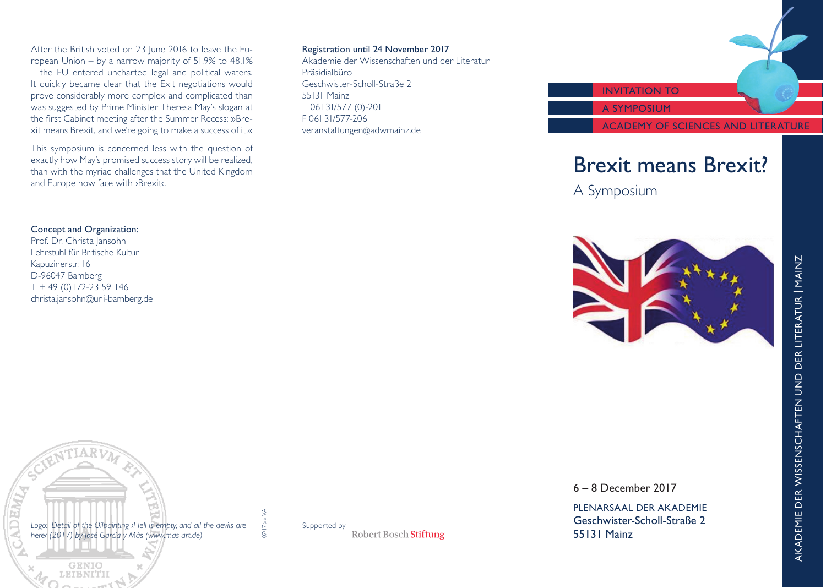After the British voted on 23 June 2016 to leave the European Union – by a narrow majority of 51.9% to 48.1% – the EU entered uncharted legal and political waters. It quickly became clear that the Exit negotiations would prove considerably more complex and complicated than was suggested by Prime Minister Theresa May's slogan at the first Cabinet meeting after the Summer Recess: »Brexit means Brexit, and we're going to make a success of it.«

This symposium is concerned less with the question of exactly how May's promised success story will be realized, than with the myriad challenges that the United Kingdom and Europe now face with ›Brexit‹.

### Registration until 24 November 2017

Akademie der Wissenschaften und der Literatur Präsidialbüro Geschwister-Scholl-Straße 2 55131 Mainz T 061 31/577 (0)-201 F 061 31/577-206 veranstaltungen@adwmainz.de



# Brexit means Brexit?

A Symposium

### Concept and Organization:

Prof. Dr. Christa Jansohn Lehrstuhl für Britische Kultur Kapuzinerstr. 16 D-96047 Bamberg  $T + 49(0)172-2359146$ christa.jansohn@uni-bamberg.de





Supported byRobert Bosch Stiftung 6 – 8 December 2017

PLENARSAAL DER AKADEMIE Geschwister-Scholl-Straße 2 55131 Mainz